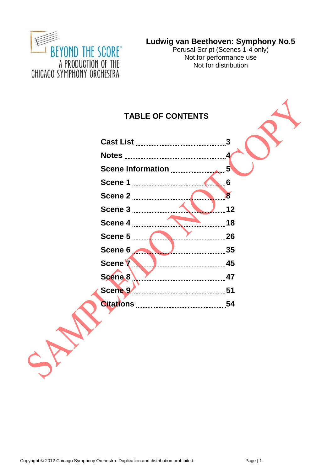

Perusal Script (Scenes 1-4 only) Not for performance use Not for distribution

# **TABLE OF CONTENTS**

| Scene 5 <b>Marshall</b> 26             |  |
|----------------------------------------|--|
| Scene 6                                |  |
| Scene 7 <u>Manuel Manuel Manuel 45</u> |  |
|                                        |  |
|                                        |  |
|                                        |  |

Copyright © 2012 Chicago Symphony Orchestra. Duplication and distribution prohibited. Page | 1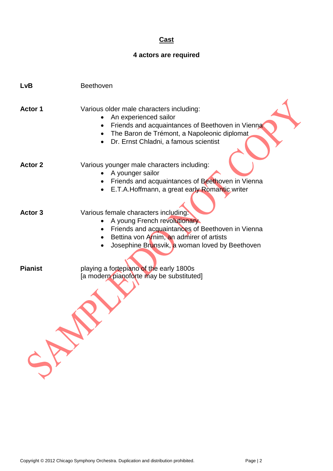### **Cast**

# **4 actors are required**

| <b>LvB</b>     | Beethoven                                                                                                                                                                                                                           |
|----------------|-------------------------------------------------------------------------------------------------------------------------------------------------------------------------------------------------------------------------------------|
| <b>Actor 1</b> | Various older male characters including:<br>An experienced sailor<br>Friends and acquaintances of Beethoven in Vienna<br>The Baron de Trémont, a Napoleonic diplomat<br>$\bullet$<br>Dr. Ernst Chladni, a famous scientist          |
| <b>Actor 2</b> | Various younger male characters including:<br>A younger sailor<br>$\bullet$<br>Friends and acquaintances of Beethoven in Vienna<br>E.T.A.Hoffmann, a great early Romantic writer<br>$\bullet$                                       |
| Actor 3        | Various female characters including:<br>A young French revolutionary<br>Friends and acquaintances of Beethoven in Vienna<br>Bettina von Arnim, an admirer of artists<br>$\bullet$<br>Josephine Brunsvik, a woman loved by Beethoven |
| <b>Pianist</b> | playing a fortepiano of the early 1800s<br>[a modern pianoforte may be substituted]                                                                                                                                                 |
|                |                                                                                                                                                                                                                                     |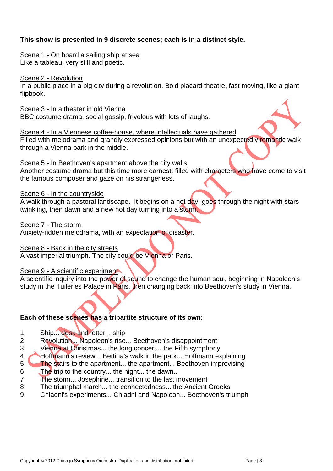### **This show is presented in 9 discrete scenes; each is in a distinct style.**

#### Scene 1 - On board a sailing ship at sea

Like a tableau, very still and poetic.

#### Scene 2 - Revolution

In a public place in a big city during a revolution. Bold placard theatre, fast moving, like a giant flipbook.

#### Scene 3 - In a theater in old Vienna

BBC costume drama, social gossip, frivolous with lots of laughs.

# Scene 4 - In a Viennese coffee-house, where intellectuals have gathered

Filled with melodrama and grandly expressed opinions but with an unexpectedly romantic walk through a Vienna park in the middle.

#### Scene 5 - In Beethoven's apartment above the city walls

Another costume drama but this time more earnest, filled with characters who have come to visit the famous composer and gaze on his strangeness.

#### Scene 6 - In the countryside

A walk through a pastoral landscape. It begins on a hot day, goes through the night with stars twinkling, then dawn and a new hot day turning into a storm.

#### Scene 7 - The storm

Anxiety-ridden melodrama, with an expectation of disaster.

#### Scene 8 - Back in the city streets

A vast imperial triumph. The city could be Vienna or Paris.

### Scene 9 - A scientific experiment

A scientific inquiry into the power of sound to change the human soul, beginning in Napoleon's study in the Tuileries Palace in Paris, then changing back into Beethoven's study in Vienna.

### **Each of these scenes has a tripartite structure of its own:**

- 1 Ship... desk and letter... ship
- 2 Revolution... Napoleon's rise... Beethoven's disappointment
- 3 Vienna at Christmas... the long concert... the Fifth symphony
- 4 Hoffmann's review... Bettina's walk in the park... Hoffmann explaining
- 5 The stairs to the apartment... the apartment... Beethoven improvising
- 6 The trip to the country... the night... the dawn...
- 7 The storm... Josephine... transition to the last movement
- 8 The triumphal march... the connectedness... the Ancient Greeks
- 9 Chladni's experiments... Chladni and Napoleon... Beethoven's triumph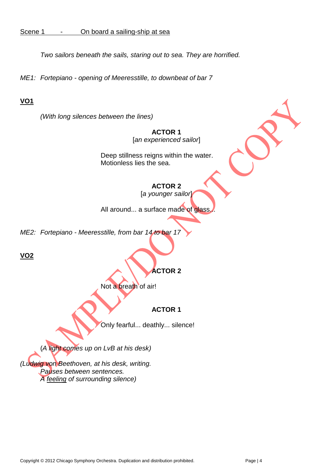### Scene 1 - On board a sailing-ship at sea

*Two sailors beneath the sails, staring out to sea. They are horrified.*

*ME1: Fortepiano - opening of Meeresstille, to downbeat of bar 7*

# **VO1**

*(With long silences between the lines)*

### **ACTOR 1** [*an experienced sailor*]

Deep stillness reigns within the water. Motionless lies the sea.

# **ACTOR 2**

[*a younger sailor*]

All around... a surface made of glass.

*ME2: Fortepiano - Meeresstille, from bar 14 to bar 17*

**VO2**

# **ACTOR 2**

Not a breath of air!

# **ACTOR 1**

Only fearful... deathly... silence!

(*A light comes up on LvB at his desk)*

*(Ludwig von Beethoven, at his desk, writing. Pauses between sentences. A feeling of surrounding silence)*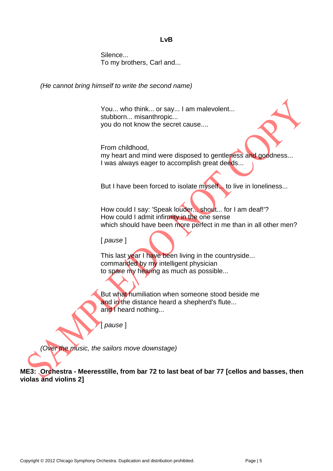#### **LvB**

Silence... To my brothers, Carl and...

*(He cannot bring himself to write the second name)*

You... who think... or say... I am malevolent... stubborn... misanthropic... you do not know the secret cause....

From childhood, my heart and mind were disposed to gentleness and goodness... I was always eager to accomplish great deeds...

But I have been forced to isolate myself... to live in loneliness...

How could I say: 'Speak louder... shout... for I am deaf!'? How could I admit infirmity in the one sense which should have been more perfect in me than in all other men?

[ *pause* ]

This last year I have been living in the countryside... commanded by my intelligent physician to spare my hearing as much as possible...

But what humiliation when someone stood beside me and in the distance heard a shepherd's flute... and I heard nothing...

[ *pause* ]

*(Over the music, the sailors move downstage)*

**ME3: Orchestra - Meeresstille, from bar 72 to last beat of bar 77 [cellos and basses, then violas and violins 2]**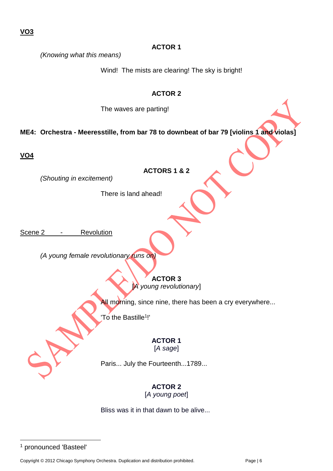*(Knowing what this means)*

Wind! The mists are clearing! The sky is bright!

### **ACTOR 2**

The waves are parting!

**ME4: Orchestra - Meeresstille, from bar 78 to downbeat of bar 79 [violins 1 and violas]** 

**VO4**

*(Shouting in excitement)*

**ACTORS 1 & 2**

There is land ahead!

Scene 2 - Revolution

*(A young female revolutionary runs on)*

**ACTOR 3** [*A young revolutionary*]

All morning, since nine, there has been a cry everywhere...

'To the Bastille<sup>1</sup>!'

### **ACTOR 1** [*A sage*]

Paris... July the Fourteenth...1789...

# **ACTOR 2**

[*A young poet*]

Bliss was it in that dawn to be alive...

<sup>1</sup> pronounced 'Basteel'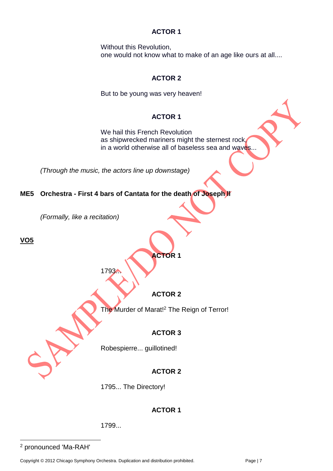Without this Revolution, one would not know what to make of an age like ours at all....

### **ACTOR 2**

But to be young was very heaven!

### **ACTOR 1**

We hail this French Revolution as shipwrecked mariners might the sternest rock, in a world otherwise all of baseless sea and waves...

*(Through the music, the actors line up downstage)*

### **ME5 Orchestra - First 4 bars of Cantata for the death of Joseph ll**

*(Formally, like a recitation)*

**VO5**

# **ACTOR 1**

1793.

# **ACTOR 2**

The Murder of Marat!<sup>2</sup> The Reign of Terror!

# **ACTOR 3**

Robespierre... guillotined!

# **ACTOR 2**

1795... The Directory!

# **ACTOR 1**

1799...

<sup>2</sup> pronounced 'Ma-RAH'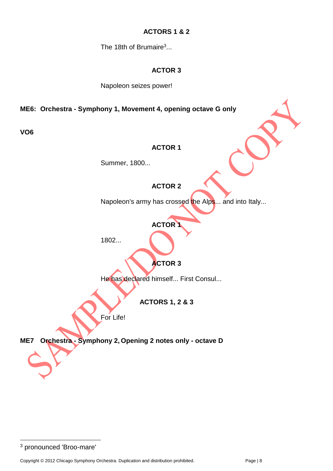### **ACTORS 1 & 2**

The 18th of Brumaire<sup>3</sup>...

### **ACTOR 3**

Napoleon seizes power!

**ME6: Orchestra - Symphony 1, Movement 4, opening octave G only**

**VO6**

### **ACTOR 1**

Summer, 1800...

# **ACTOR 2**

Napoleon's army has crossed the Alps... and into Italy...

# **ACTOR 1**

1802...

# **ACTOR 3**

He has declared himself... First Consul...

**ACTORS 1, 2 & 3**

For Life!

**ME7 Orchestra - Symphony 2, Opening 2 notes only - octave D**

<sup>3</sup> pronounced 'Broo-mare'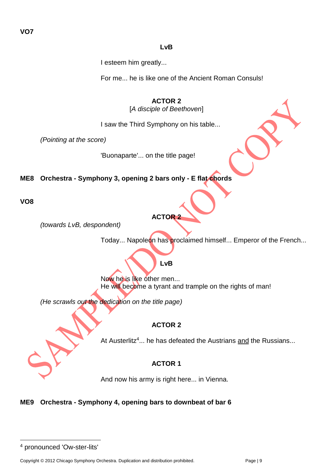### **LvB**

I esteem him greatly...

For me... he is like one of the Ancient Roman Consuls!

**ACTOR 2** [*A disciple of Beethoven*]

I saw the Third Symphony on his table...

*(Pointing at the score)*

'Buonaparte'... on the title page!

**ME8 Orchestra - Symphony 3, opening 2 bars only - E flat chords**

**VO8**

*(towards LvB, despondent)*

Today... Napoleon has proclaimed himself... Emperor of the French...

# **LvB**

**ACTOR 2**

Now he is like other men... He will become a tyrant and trample on the rights of man!

*(He scrawls out the dedication on the title page)*

# **ACTOR 2**

At Austerlitz<sup>4</sup>... he has defeated the Austrians and the Russians...

# **ACTOR 1**

And now his army is right here... in Vienna.

# **ME9 Orchestra - Symphony 4, opening bars to downbeat of bar 6**

<sup>4</sup> pronounced 'Ow-ster-lits'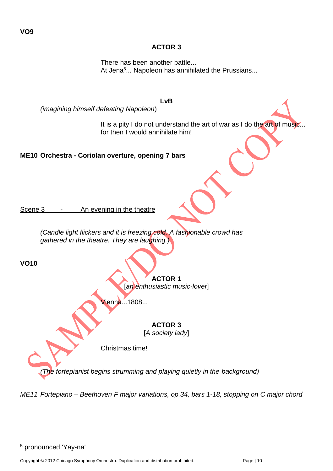$\overline{a}$ 

There has been another battle... At Jena<sup>5</sup>... Napoleon has annihilated the Prussians...

### **LvB**

*(imagining himself defeating Napoleon*)

It is a pity I do not understand the art of war as I do the art of music... for then I would annihilate him!

**ME10 Orchestra - Coriolan overture, opening 7 bars** 

Scene 3 - An evening in the theatre

*(Candle light flickers and it is freezing cold. A fashionable crowd has gathered in the theatre. They are laughing.)*

**VO10**

**VO9**

**ACTOR 1**

[*an enthusiastic music-lover*]

Vienna...1808...

# **ACTOR 3**

[*A society lady*]

Christmas time!

*(The fortepianist begins strumming and playing quietly in the background)*

*ME11 Fortepiano – Beethoven F major variations, op.34, bars 1-18, stopping on C major chord*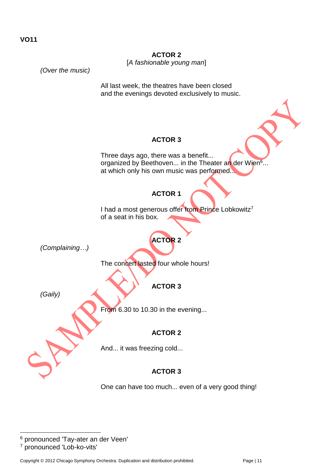

<sup>&</sup>lt;sup>6</sup> pronounced 'Tay-ater an der Veen'

<sup>7</sup> pronounced 'Lob-ko-vits'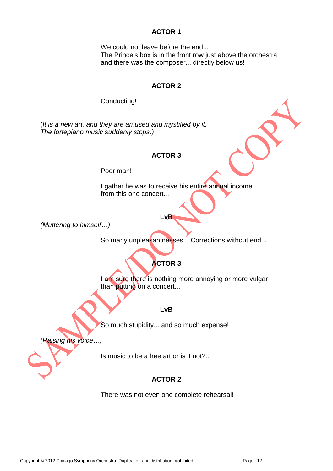We could not leave before the end... The Prince's box is in the front row just above the orchestra, and there was the composer... directly below us!

#### **ACTOR 2**

Conducting!

(*It is a new art, and they are amused and mystified by it. The fortepiano music suddenly stops.)*

#### **ACTOR 3**

Poor man!

I gather he was to receive his entire annual income from this one concert...

*(Muttering to himself…)*

So many unpleasantnesses... Corrections without end...

# **ACTOR 3**

**LvB**

I am sure there is nothing more annoying or more vulgar than putting on a concert...

**LvB**

So much stupidity... and so much expense!

*(Raising his voice…)*

Is music to be a free art or is it not?...

# **ACTOR 2**

There was not even one complete rehearsal!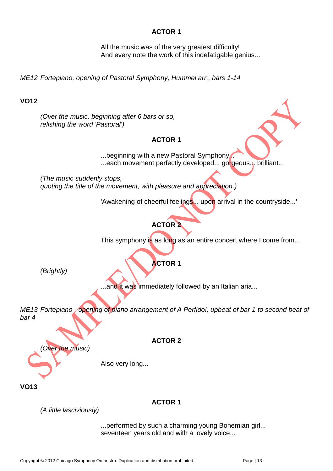All the music was of the very greatest difficulty! And every note the work of this indefatigable genius...

*ME12 Fortepiano, opening of Pastoral Symphony, Hummel arr., bars 1-14*

### **VO12**

*(Over the music, beginning after 6 bars or so, relishing the word 'Pastoral')*

### **ACTOR 1**

...beginning with a new Pastoral Symphony. ...each movement perfectly developed... gorgeous... brilliant...

*(The music suddenly stops, quoting the title of the movement, with pleasure and appreciation.)*

'Awakening of cheerful feelings... upon arrival in the countryside...'

# **ACTOR 2**

This symphony is as long as an entire concert where I come from...

# **ACTOR 1**

*(Brightly)*

..and it was immediately followed by an Italian aria...

*ME13 Fortepiano - opening of piano arrangement of A Perfido!, upbeat of bar 1 to second beat of bar 4*

**ACTOR 2**

Also very long...

**VO13**

### **ACTOR 1**

*(A little lasciviously)*

*(Over the music)*

...performed by such a charming young Bohemian girl... seventeen years old and with a lovely voice...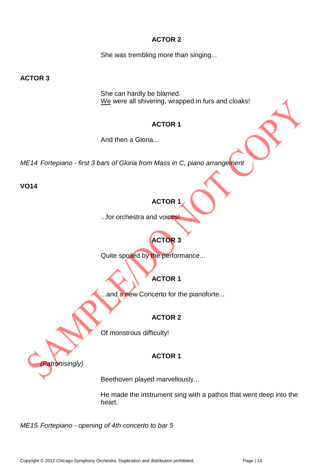She was trembling more than singing...

**ACTOR 3**

She can hardly be blamed. We were all shivering, wrapped in furs and cloaks!

# **ACTOR 1**

And then a Gloria...

*ME14 Fortepiano - first 3 bars of Gloria from Mass in C, piano arrangement*

**VO14**

# **ACTOR 1**

...for orchestra and voices!

# **ACTOR 3**

Quite spoiled by the performance...

# **ACTOR 1**

..and a new Concerto for the pianoforte...

# **ACTOR 2**

Of monstrous difficulty!

# **ACTOR 1**

*(Patronisingly)*

Beethoven played marvellously...

He made the instrument sing with a pathos that went deep into the heart.

*ME15 Fortepiano - opening of 4th concerto to bar 5*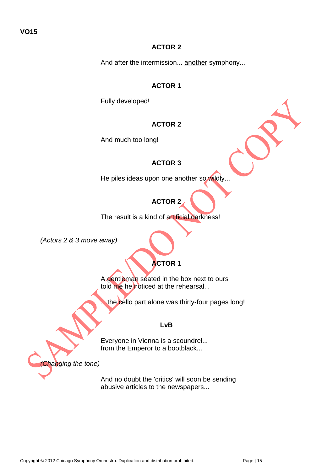### **VO15**

### **ACTOR 2**

And after the intermission... another symphony...

### **ACTOR 1**

Fully developed!

### **ACTOR 2**

And much too long!

### **ACTOR 3**

He piles ideas upon one another so wildly...

# **ACTOR 2**

The result is a kind of artificial darkness!

*(Actors 2 & 3 move away)*

# **ACTOR 1**

A gentleman seated in the box next to ours told me he noticed at the rehearsal...

…the cello part alone was thirty-four pages long!

#### **LvB**

Everyone in Vienna is a scoundrel... from the Emperor to a bootblack...

*(Changing the tone)*

And no doubt the 'critics' will soon be sending abusive articles to the newspapers...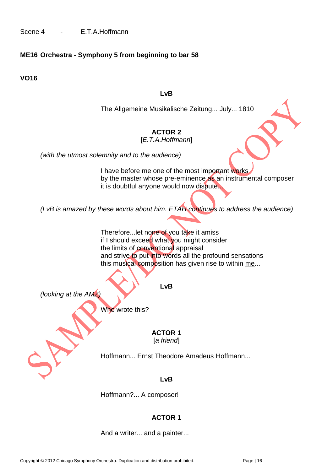# **ME16 Orchestra - Symphony 5 from beginning to bar 58**

**VO16**

#### **LvB**

The Allgemeine Musikalische Zeitung... July... 1810

# **ACTOR 2**

[*E.T.A.Hoffmann*]

*(with the utmost solemnity and to the audience)*

I have before me one of the most important works by the master whose pre-eminence as an instrumental composer it is doubtful anyone would now dispute...

*(LvB is amazed by these words about him. ETAH continues to address the audience)*

Therefore...let none of you take it amiss if I should exceed what you might consider the limits of conventional appraisal and strive to put into words all the profound sensations this musical composition has given rise to within me...

**LvB**

*(looking at the AMZ)*

Who wrote this?

#### **ACTOR 1** [*a friend*]

Hoffmann... Ernst Theodore Amadeus Hoffmann...

**LvB**

Hoffmann?... A composer!

# **ACTOR 1**

And a writer... and a painter...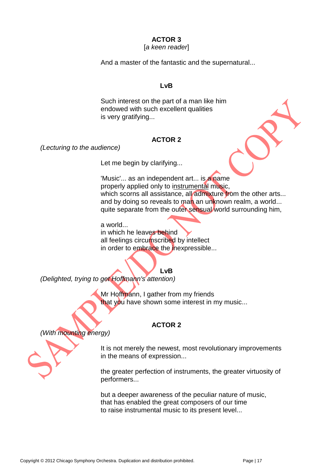#### [*a keen reader*]

And a master of the fantastic and the supernatural...

#### **LvB**

Such interest on the part of a man like him endowed with such excellent qualities is very gratifying...

#### **ACTOR 2**

*(Lecturing to the audience)*

Let me begin by clarifying...

'Music'... as an independent art... is a name properly applied only to instrumental music, which scorns all assistance, all admixture from the other arts... and by doing so reveals to man an unknown realm, a world... quite separate from the outer sensual world surrounding him,

a world... in which he leaves behind all feelings circumscribed by intellect in order to embrace the inexpressible...

**LvB**

*(Delighted, trying to get Hoffmann's attention)*

Mr Hoffmann, I gather from my friends that you have shown some interest in my music...

### **ACTOR 2**

*(With mounting energy)*

It is not merely the newest, most revolutionary improvements in the means of expression...

the greater perfection of instruments, the greater virtuosity of performers...

but a deeper awareness of the peculiar nature of music, that has enabled the great composers of our time to raise instrumental music to its present level...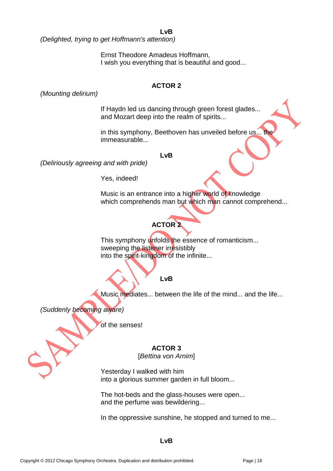**LvB**

*(Delighted, trying to get Hoffmann's attention)*

Ernst Theodore Amadeus Hoffmann, I wish you everything that is beautiful and good...

### **ACTOR 2**

*(Mounting delirium)*

If Haydn led us dancing through green forest glades... and Mozart deep into the realm of spirits...

in this symphony, Beethoven has unveiled before us... the immeasurable...

#### **LvB**

*(Deliriously agreeing and with pride)*

Yes, indeed!

Music is an entrance into a higher world of knowledge which comprehends man but which man cannot comprehend...

# **ACTOR 2**

This symphony unfolds the essence of romanticism... sweeping the listener irresistibly into the spirit-kingdom of the infinite...

# **LvB**

Music mediates... between the life of the mind... and the life...

*(Suddenly becoming aware)*

of the senses!

### **ACTOR 3**

[*Bettina von Arnim*]

Yesterday I walked with him into a glorious summer garden in full bloom...

The hot-beds and the glass-houses were open... and the perfume was bewildering...

In the oppressive sunshine, he stopped and turned to me...

#### **LvB**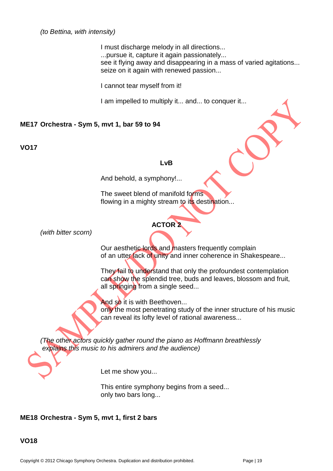I must discharge melody in all directions... ...pursue it, capture it again passionately... see it flying away and disappearing in a mass of varied agitations... seize on it again with renewed passion...

I cannot tear myself from it!

I am impelled to multiply it... and... to conquer it...

#### **ME17 Orchestra - Sym 5, mvt 1, bar 59 to 94**

**VO17**

#### **LvB**

And behold, a symphony!...

The sweet blend of manifold forms flowing in a mighty stream to its destination...

# **ACTOR 2**

*(with bitter scorn)*

Our aesthetic lords and masters frequently complain of an utter lack of unity and inner coherence in Shakespeare...

They fail to understand that only the profoundest contemplation can show the splendid tree, buds and leaves, blossom and fruit, all springing from a single seed...

And so it is with Beethoven...

only the most penetrating study of the inner structure of his music can reveal its lofty level of rational awareness...

*(The other actors quickly gather round the piano as Hoffmann breathlessly explains this music to his admirers and the audience)*

Let me show you...

This entire symphony begins from a seed... only two bars long...

# **ME18 Orchestra - Sym 5, mvt 1, first 2 bars**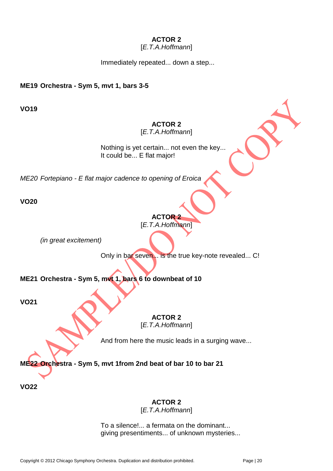### [*E.T.A.Hoffmann*]

Immediately repeated... down a step...

### **ME19 Orchestra - Sym 5, mvt 1, bars 3-5**

**VO19**

# **ACTOR 2**

[*E.T.A.Hoffmann*]

Nothing is yet certain... not even the key... It could be... E flat major!

*ME20 Fortepiano - E flat major cadence to opening of Eroica* 

**VO20**

# **ACTOR 2** [*E.T.A.Hoffmann*]

*(in great excitement)*

Only in bar seven... is the true key-note revealed... C!

**ME21 Orchestra - Sym 5, mvt 1, bars 6 to downbeat of 10**

**VO21**

**ACTOR 2**

[*E.T.A.Hoffmann*]

And from here the music leads in a surging wave...

**ME22 Orchestra - Sym 5, mvt 1from 2nd beat of bar 10 to bar 21**

**VO22**

# **ACTOR 2**

[*E.T.A.Hoffmann*]

To a silence!... a fermata on the dominant... giving presentiments... of unknown mysteries...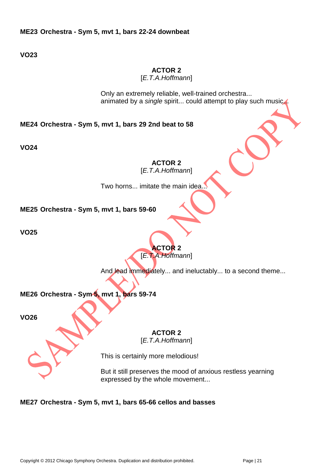**VO23**

### **ACTOR 2**

[*E.T.A.Hoffmann*]

Only an extremely reliable, well-trained orchestra... animated by a *single* spirit... could attempt to play such music.

**ME24 Orchestra - Sym 5, mvt 1, bars 29 2nd beat to 58**

**VO24**

**ACTOR 2** [*E.T.A.Hoffmann*]

Two horns... imitate the main idea...

**ME25 Orchestra - Sym 5, mvt 1, bars 59-60**

**VO25**



And lead immediately... and ineluctably... to a second theme...

**ME26 Orchestra - Sym 5, mvt 1, bars 59-74** 

**VO26**

**ACTOR 2**

[*E.T.A.Hoffmann*]

This is certainly more melodious!

But it still preserves the mood of anxious restless yearning expressed by the whole movement...

### **ME27 Orchestra - Sym 5, mvt 1, bars 65-66 cellos and basses**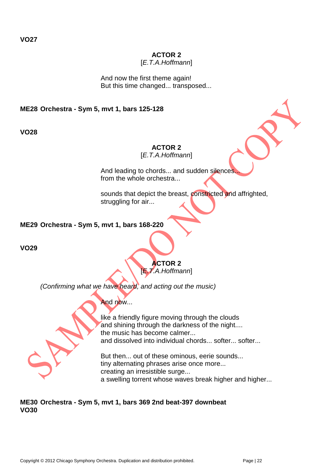[*E.T.A.Hoffmann*]

And now the first theme again! But this time changed... transposed...

### **ME28 Orchestra - Sym 5, mvt 1, bars 125-128**

**VO28**

### **ACTOR 2**

[*E.T.A.Hoffmann*]

And leading to chords... and sudden silences from the whole orchestra...

sounds that depict the breast, constricted and affrighted, struggling for air...

### **ME29 Orchestra - Sym 5, mvt 1, bars 168-220**

**VO29**

### **ACTOR 2** [*E.T.A.Hoffmann*]

*(Confirming what we have heard, and acting out the music)*

# And now...



like a friendly figure moving through the clouds and shining through the darkness of the night.... the music has become calmer... and dissolved into individual chords... softer... softer...

But then... out of these ominous, eerie sounds... tiny alternating phrases arise once more... creating an irresistible surge... a swelling torrent whose waves break higher and higher...

### **ME30 Orchestra - Sym 5, mvt 1, bars 369 2nd beat-397 downbeat VO30**

**VO27**